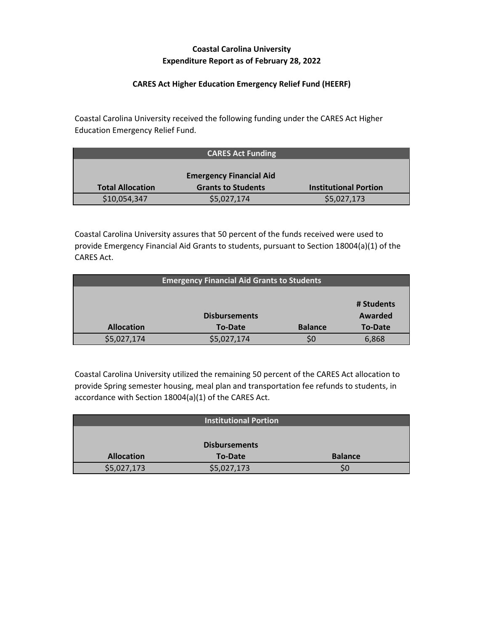# **Coastal Carolina University Expenditure Report as of February 28, 2022**

### **CARES Act Higher Education Emergency Relief Fund (HEERF)**

Coastal Carolina University received the following funding under the CARES Act Higher Education Emergency Relief Fund.

|                                | <b>CARES Act Funding</b>  |                              |  |
|--------------------------------|---------------------------|------------------------------|--|
|                                |                           |                              |  |
| <b>Emergency Financial Aid</b> |                           |                              |  |
| <b>Total Allocation</b>        | <b>Grants to Students</b> | <b>Institutional Portion</b> |  |
| \$10,054,347                   | \$5,027,174               | \$5,027,173                  |  |

Coastal Carolina University assures that 50 percent of the funds received were used to provide Emergency Financial Aid Grants to students, pursuant to Section 18004(a)(1) of the CARES Act.

| <b>Emergency Financial Aid Grants to Students</b> |                |                |                |
|---------------------------------------------------|----------------|----------------|----------------|
|                                                   |                |                |                |
|                                                   |                |                | # Students     |
| <b>Disbursements</b>                              |                |                | Awarded        |
| <b>Allocation</b>                                 | <b>To-Date</b> | <b>Balance</b> | <b>To-Date</b> |
| \$5,027,174                                       | \$5,027,174    | SO             | 6,868          |

Coastal Carolina University utilized the remaining 50 percent of the CARES Act allocation to provide Spring semester housing, meal plan and transportation fee refunds to students, in accordance with Section 18004(a)(1) of the CARES Act.

|                   | <b>Institutional Portion</b> |                |
|-------------------|------------------------------|----------------|
|                   |                              |                |
|                   | <b>Disbursements</b>         |                |
| <b>Allocation</b> | <b>To-Date</b>               | <b>Balance</b> |
| \$5,027,173       | \$5,027,173                  | SC             |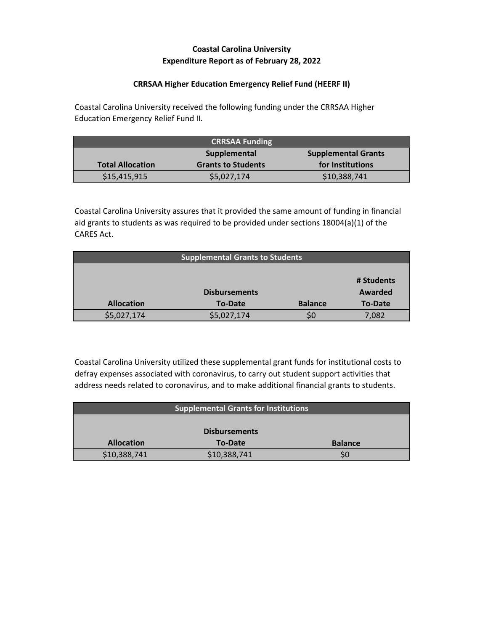# **Coastal Carolina University Expenditure Report as of February 28, 2022**

### **CRRSAA Higher Education Emergency Relief Fund (HEERF II)**

Coastal Carolina University received the following funding under the CRRSAA Higher Education Emergency Relief Fund II.

| <b>CRRSAA Funding</b>                      |                           |                  |  |
|--------------------------------------------|---------------------------|------------------|--|
| Supplemental<br><b>Supplemental Grants</b> |                           |                  |  |
| <b>Total Allocation</b>                    | <b>Grants to Students</b> | for Institutions |  |
| \$15,415,915                               | \$5,027,174               | \$10,388,741     |  |

Coastal Carolina University assures that it provided the same amount of funding in financial aid grants to students as was required to be provided under sections 18004(a)(1) of the CARES Act.

| <b>Supplemental Grants to Students</b> |             |                |                |
|----------------------------------------|-------------|----------------|----------------|
|                                        |             |                |                |
|                                        |             |                | # Students     |
| <b>Disbursements</b>                   |             |                | Awarded        |
| <b>Allocation</b>                      | To-Date     | <b>Balance</b> | <b>To-Date</b> |
| \$5,027,174                            | \$5,027,174 |                | 7,082          |

Coastal Carolina University utilized these supplemental grant funds for institutional costs to defray expenses associated with coronavirus, to carry out student support activities that address needs related to coronavirus, and to make additional financial grants to students.

| <b>Supplemental Grants for Institutions</b> |                |                |  |
|---------------------------------------------|----------------|----------------|--|
|                                             |                |                |  |
| <b>Disbursements</b>                        |                |                |  |
| <b>Allocation</b>                           | <b>To-Date</b> | <b>Balance</b> |  |
| \$10,388,741                                | \$10,388,741   | SC             |  |